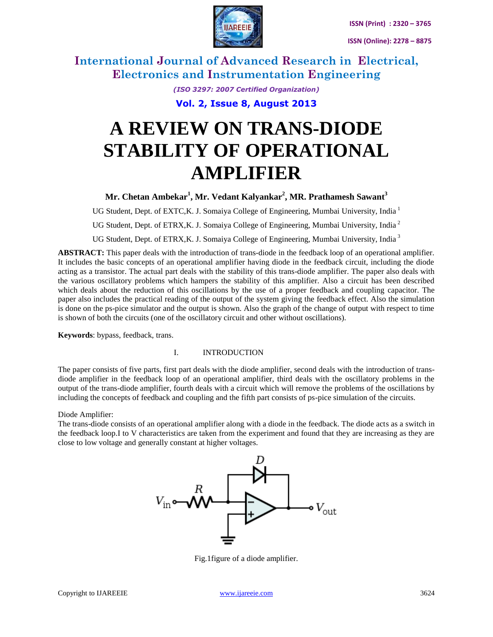

**International Journal of Advanced Research in Electrical, Electronics and Instrumentation Engineering**

> *(ISO 3297: 2007 Certified Organization)* **Vol. 2, Issue 8, August 2013**

# **A REVIEW ON TRANS-DIODE STABILITY OF OPERATIONAL AMPLIFIER**

**Mr. Chetan Ambekar<sup>1</sup> , Mr. Vedant Kalyankar<sup>2</sup> , MR. Prathamesh Sawant<sup>3</sup>**

UG Student, Dept. of EXTC, K. J. Somaiya College of Engineering, Mumbai University, India<sup>1</sup>

UG Student, Dept. of ETRX, K. J. Somaiya College of Engineering, Mumbai University, India<sup>2</sup>

UG Student, Dept. of ETRX, K. J. Somaiya College of Engineering, Mumbai University, India<sup>3</sup>

**ABSTRACT:** This paper deals with the introduction of trans-diode in the feedback loop of an operational amplifier. It includes the basic concepts of an operational amplifier having diode in the feedback circuit, including the diode acting as a transistor. The actual part deals with the stability of this trans-diode amplifier. The paper also deals with the various oscillatory problems which hampers the stability of this amplifier. Also a circuit has been described which deals about the reduction of this oscillations by the use of a proper feedback and coupling capacitor. The paper also includes the practical reading of the output of the system giving the feedback effect. Also the simulation is done on the ps-pice simulator and the output is shown. Also the graph of the change of output with respect to time is shown of both the circuits (one of the oscillatory circuit and other without oscillations).

**Keywords**: bypass, feedback, trans.

#### I. INTRODUCTION

The paper consists of five parts, first part deals with the diode amplifier, second deals with the introduction of transdiode amplifier in the feedback loop of an operational amplifier, third deals with the oscillatory problems in the output of the trans-diode amplifier, fourth deals with a circuit which will remove the problems of the oscillations by including the concepts of feedback and coupling and the fifth part consists of ps-pice simulation of the circuits.

Diode Amplifier:

The trans-diode consists of an operational amplifier along with a diode in the feedback. The diode acts as a switch in the feedback loop.I to V characteristics are taken from the experiment and found that they are increasing as they are close to low voltage and generally constant at higher voltages.



Fig.1figure of a diode amplifier.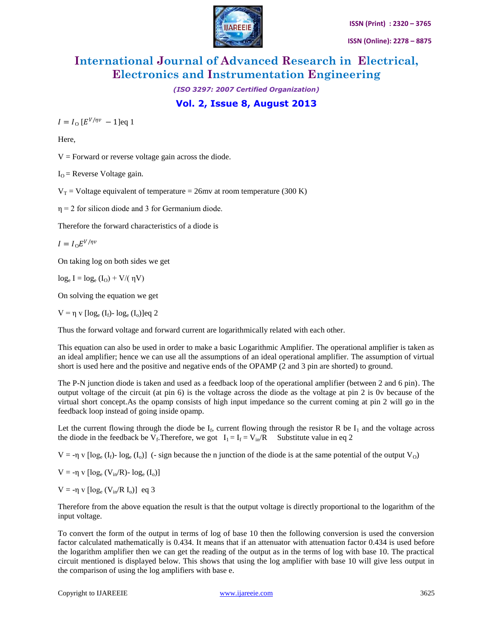

# **International Journal of Advanced Research in Electrical, Electronics and Instrumentation Engineering**

*(ISO 3297: 2007 Certified Organization)*

**Vol. 2, Issue 8, August 2013**

 $I = I_0 [E^{V/\eta v} - 1]$ eq 1

Here,

 $V =$  Forward or reverse voltage gain across the diode.

 $I<sub>O</sub>$  = Reverse Voltage gain.

 $V_T$  = Voltage equivalent of temperature = 26mv at room temperature (300 K)

 $\eta$  = 2 for silicon diode and 3 for Germanium diode.

Therefore the forward characteristics of a diode is

 $I = I_0 E^{V/\eta v}$ 

On taking log on both sides we get

 $log_e I = log_e (I_O) + V/(\eta V)$ 

On solving the equation we get

 $V = \eta v \left[ \log_e (I_f) - \log_e (I_o) \right]$ eq 2

Thus the forward voltage and forward current are logarithmically related with each other.

This equation can also be used in order to make a basic Logarithmic Amplifier. The operational amplifier is taken as an ideal amplifier; hence we can use all the assumptions of an ideal operational amplifier. The assumption of virtual short is used here and the positive and negative ends of the OPAMP (2 and 3 pin are shorted) to ground.

The P-N junction diode is taken and used as a feedback loop of the operational amplifier (between 2 and 6 pin). The output voltage of the circuit (at pin 6) is the voltage across the diode as the voltage at pin 2 is 0v because of the virtual short concept.As the opamp consists of high input impedance so the current coming at pin 2 will go in the feedback loop instead of going inside opamp.

Let the current flowing through the diode be  $I_f$ , current flowing through the resistor R be  $I_1$  and the voltage across the diode in the feedback be V<sub>f</sub>. Therefore, we got  $I_1 = I_f = V_{in}/R$  Substitute value in eq 2

 $V = -\eta$  v  $[\log_e(I_f) - \log_e(I_o)]$  (- sign because the n junction of the diode is at the same potential of the output V<sub>O</sub>)

V = -η v  $\lceil \log_e (V_{in}/R) - \log_e (I_o) \rceil$ 

V = -η v  $\lceil \log_e (V_{in}/R I_0) \rceil$  eq 3

Therefore from the above equation the result is that the output voltage is directly proportional to the logarithm of the input voltage.

To convert the form of the output in terms of log of base 10 then the following conversion is used the conversion factor calculated mathematically is 0.434. It means that if an attenuator with attenuation factor 0.434 is used before the logarithm amplifier then we can get the reading of the output as in the terms of log with base 10. The practical circuit mentioned is displayed below. This shows that using the log amplifier with base 10 will give less output in the comparison of using the log amplifiers with base e.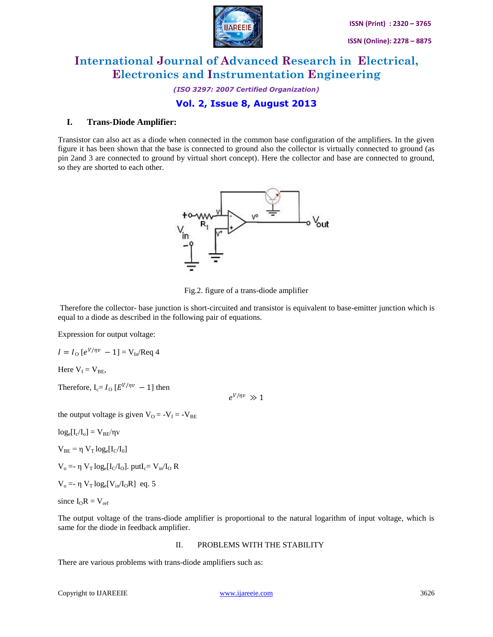

## **International Journal of Advanced Research in Electrical, Electronics and Instrumentation Engineering**

*(ISO 3297: 2007 Certified Organization)*

### **Vol. 2, Issue 8, August 2013**

#### **I. Trans-Diode Amplifier:**

Transistor can also act as a diode when connected in the common base configuration of the amplifiers. In the given figure it has been shown that the base is connected to ground also the collector is virtually connected to ground (as pin 2and 3 are connected to ground by virtual short concept). Here the collector and base are connected to ground, so they are shorted to each other.



Fig.2. figure of a trans-diode amplifier

Therefore the collector- base junction is short-circuited and transistor is equivalent to base-emitter junction which is equal to a diode as described in the following pair of equations.

Expression for output voltage:

$$
I = I_{\rm O} [e^{V/\eta v} - 1] = V_{\rm In} / \text{Req } 4
$$

Here  $V_f = V_{BF}$ ,

Therefore,  $I_c = I_0 [E^{V/\eta v} - 1]$  then

 $e^{V/\eta v} \gg 1$ 

the output voltage is given  $V_{O} = -V_{f} = -V_{BE}$ 

 $log_e[I_c/I_o] = V_{BE}/\eta v$ 

 $V_{BE} = \eta V_T \log_e[I_C/I_0]$ 

 $V_o$  =- η  $V_T \log_e[I_C/I_O]$ . put $I_c = V_{in}/I_O$  R

$$
V_o = -\eta V_T \log_e[V_{in}/I_OR]
$$
eq. 5

since  $I_0R = V_{ref}$ 

The output voltage of the trans-diode amplifier is proportional to the natural logarithm of input voltage, which is same for the diode in feedback amplifier.

#### II. PROBLEMS WITH THE STABILITY

There are various problems with trans-diode amplifiers such as: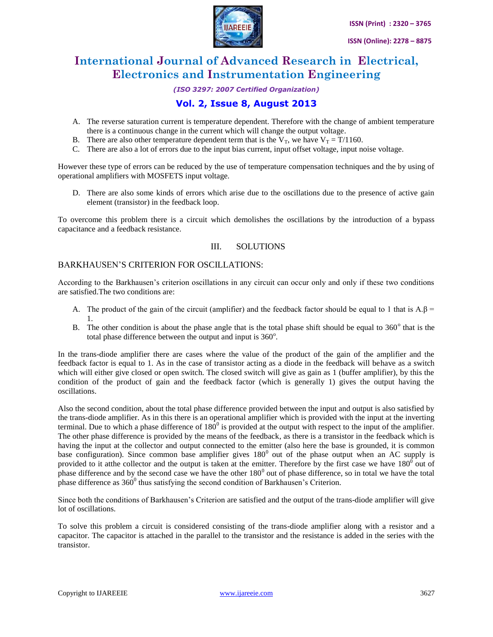

# **International Journal of Advanced Research in Electrical, Electronics and Instrumentation Engineering**

#### *(ISO 3297: 2007 Certified Organization)*

### **Vol. 2, Issue 8, August 2013**

- A. The reverse saturation current is temperature dependent. Therefore with the change of ambient temperature there is a continuous change in the current which will change the output voltage.
- B. There are also other temperature dependent term that is the  $V_T$ , we have  $V_T = T/1160$ .
- C. There are also a lot of errors due to the input bias current, input offset voltage, input noise voltage.

However these type of errors can be reduced by the use of temperature compensation techniques and the by using of operational amplifiers with MOSFETS input voltage.

D. There are also some kinds of errors which arise due to the oscillations due to the presence of active gain element (transistor) in the feedback loop.

To overcome this problem there is a circuit which demolishes the oscillations by the introduction of a bypass capacitance and a feedback resistance.

#### III. SOLUTIONS

#### BARKHAUSEN'S CRITERION FOR OSCILLATIONS:

According to the Barkhausen's criterion oscillations in any circuit can occur only and only if these two conditions are satisfied.The two conditions are:

- A. The product of the gain of the circuit (amplifier) and the feedback factor should be equal to 1 that is  $A.\beta$  = 1.
- B. The other condition is about the phase angle that is the total phase shift should be equal to 360<sup>°</sup> that is the total phase difference between the output and input is  $360^\circ$ .

In the trans-diode amplifier there are cases where the value of the product of the gain of the amplifier and the feedback factor is equal to 1. As in the case of transistor acting as a diode in the feedback will behave as a switch which will either give closed or open switch. The closed switch will give as gain as 1 (buffer amplifier), by this the condition of the product of gain and the feedback factor (which is generally 1) gives the output having the oscillations.

Also the second condition, about the total phase difference provided between the input and output is also satisfied by the trans-diode amplifier. As in this there is an operational amplifier which is provided with the input at the inverting terminal. Due to which a phase difference of  $180^{\circ}$  is provided at the output with respect to the input of the amplifier. The other phase difference is provided by the means of the feedback, as there is a transistor in the feedback which is having the input at the collector and output connected to the emitter (also here the base is grounded, it is common base configuration). Since common base amplifier gives  $180^{\circ}$  out of the phase output when an AC supply is provided to it at the collector and the output is taken at the emitter. Therefore by the first case we have  $180^{\circ}$  out of phase difference and by the second case we have the other  $180<sup>0</sup>$  out of phase difference, so in total we have the total phase difference as  $360^{\circ}$  thus satisfying the second condition of Barkhausen's Criterion.

Since both the conditions of Barkhausen's Criterion are satisfied and the output of the trans-diode amplifier will give lot of oscillations.

To solve this problem a circuit is considered consisting of the trans-diode amplifier along with a resistor and a capacitor. The capacitor is attached in the parallel to the transistor and the resistance is added in the series with the transistor.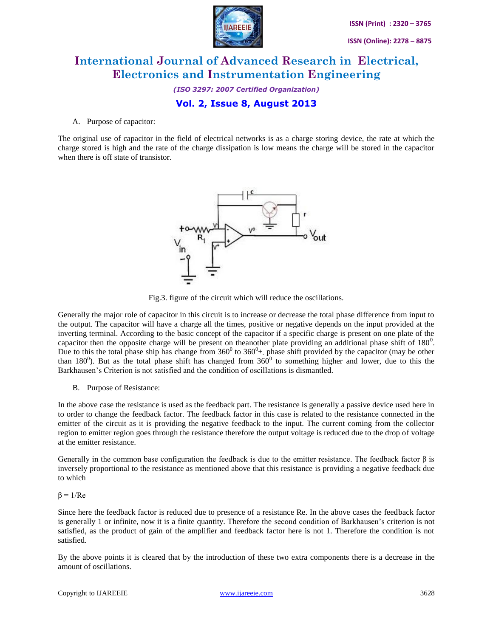

# **International Journal of Advanced Research in Electrical, Electronics and Instrumentation Engineering**

*(ISO 3297: 2007 Certified Organization)*

### **Vol. 2, Issue 8, August 2013**

#### A. Purpose of capacitor:

The original use of capacitor in the field of electrical networks is as a charge storing device, the rate at which the charge stored is high and the rate of the charge dissipation is low means the charge will be stored in the capacitor when there is off state of transistor.



Fig.3. figure of the circuit which will reduce the oscillations.

Generally the major role of capacitor in this circuit is to increase or decrease the total phase difference from input to the output. The capacitor will have a charge all the times, positive or negative depends on the input provided at the inverting terminal. According to the basic concept of the capacitor if a specific charge is present on one plate of the capacitor then the opposite charge will be present on theanother plate providing an additional phase shift of  $180^\circ$ . Due to this the total phase ship has change from  $360^{\circ}$  to  $360^{\circ}$ +. phase shift provided by the capacitor (may be other than 180<sup>0</sup>). But as the total phase shift has changed from  $360^{\circ}$  to something higher and lower, due to this the Barkhausen's Criterion is not satisfied and the condition of oscillations is dismantled.

B. Purpose of Resistance:

In the above case the resistance is used as the feedback part. The resistance is generally a passive device used here in to order to change the feedback factor. The feedback factor in this case is related to the resistance connected in the emitter of the circuit as it is providing the negative feedback to the input. The current coming from the collector region to emitter region goes through the resistance therefore the output voltage is reduced due to the drop of voltage at the emitter resistance.

Generally in the common base configuration the feedback is due to the emitter resistance. The feedback factor  $\beta$  is inversely proportional to the resistance as mentioned above that this resistance is providing a negative feedback due to which

 $β = 1/Re$ 

Since here the feedback factor is reduced due to presence of a resistance Re. In the above cases the feedback factor is generally 1 or infinite, now it is a finite quantity. Therefore the second condition of Barkhausen's criterion is not satisfied, as the product of gain of the amplifier and feedback factor here is not 1. Therefore the condition is not satisfied.

By the above points it is cleared that by the introduction of these two extra components there is a decrease in the amount of oscillations.